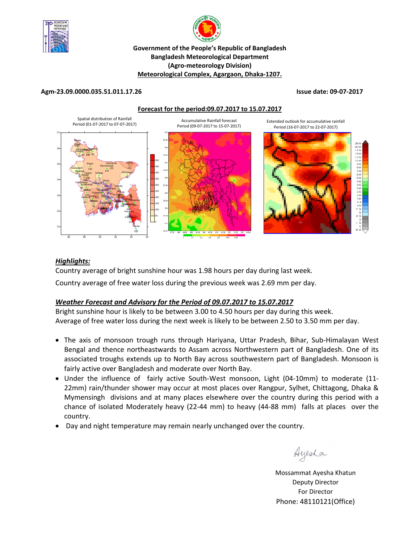



# **Government of the People's Republic of Bangladesh Bangladesh Meteorological Department (Agro‐meteorology Division) Meteorological Complex, Agargaon, Dhaka‐1207.**

### **Agm‐23.09.0000.035.51.011.17.26 Issue date: 09‐07‐2017**



# *Highlights:*

Country average of bright sunshine hour was 1.98 hours per day during last week. Country average of free water loss during the previous week was 2.69 mm per day.

# *Weather Forecast and Advisory for the Period of 09.07.2017 to 15.07.2017*

Bright sunshine hour is likely to be between 3.00 to 4.50 hours per day during this week. Average of free water loss during the next week is likely to be between 2.50 to 3.50 mm per day.

- The axis of monsoon trough runs through Hariyana, Uttar Pradesh, Bihar, Sub-Himalayan West Bengal and thence northeastwards to Assam across Northwestern part of Bangladesh. One of its associated troughs extends up to North Bay across southwestern part of Bangladesh. Monsoon is fairly active over Bangladesh and moderate over North Bay.
- Under the influence of fairly active South-West monsoon, Light (04-10mm) to moderate (11-22mm) rain/thunder shower may occur at most places over Rangpur, Sylhet, Chittagong, Dhaka & Mymensingh divisions and at many places elsewhere over the country during this period with a chance of isolated Moderately heavy (22‐44 mm) to heavy (44‐88 mm) falls at places over the country.
- Day and night temperature may remain nearly unchanged over the country.

Ayesha

Mossammat Ayesha Khatun Deputy Director For Director Phone: 48110121(Office)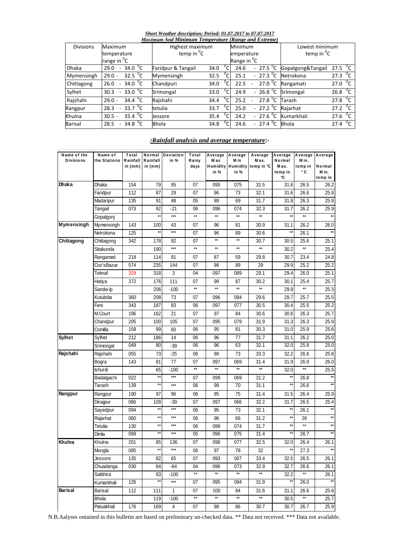#### *Short Weather description; Period: 01.07.2017 to 07.07.2017 Maximum And Minimum Temperature (Range and Extreme)*

|                  |                                                  | niuxumum Ama minumum Temperature (Range ana Extreme) |                 |                                                         |                                      |  |  |
|------------------|--------------------------------------------------|------------------------------------------------------|-----------------|---------------------------------------------------------|--------------------------------------|--|--|
| <b>Divisions</b> | Maximum                                          | Highest maximum                                      |                 | Minimum                                                 | Lowest minimum                       |  |  |
|                  | temperature                                      | temp in ${}^{0}C$                                    |                 | emperature                                              | temp in ${}^{0}C$                    |  |  |
|                  | range in <sup>0</sup> C                          |                                                      |                 | Range in <sup>o</sup> C                                 |                                      |  |  |
| <b>Dhaka</b>     | $34.0^{0}C$<br>29.0<br>$\overline{\phantom{a}}$  | Faridpur & Tangail                                   | $^0C$<br>34.0   | $-27.5 \text{ °C}$<br>24.6                              | 27.5 $^{0}C$<br>Gopalgong&Tangail    |  |  |
| Mymensingh       | 32.5 $\mathrm{^0C}$<br>$29.0 -$                  | Mymensingh                                           | 32.5<br>Ć       | $-27.3 \text{ }^0C$<br>25.1                             | 27.3 $\overline{C}$<br>Netrokona     |  |  |
| Chittagong       | 34.0 $^{0}C$<br>26.0<br>$\overline{\phantom{a}}$ | Chandpuri                                            | $^0C_1$<br>34.0 | 27.0 $\mathrm{^0C}$<br>22.5<br>$\overline{\phantom{a}}$ | 27.0 $^{0}C$<br>Rangamati            |  |  |
| Sylhet           | $-33.0\ ^{0}C$<br>30.3                           | Srimongal                                            | $^0$ Cı<br>33.0 | - 26.8 <sup>o</sup> C Srimongal<br>24.9                 | $26.8\text{ }^{\circ}\text{C}$       |  |  |
| Rajshahi         | $34.4^{0}C$<br>$29.0 -$                          | Rajshahi                                             | $^0C$<br>34.4   | 27.8 $^{\circ}$ C<br>25.2<br>$\overline{a}$             | 27.8 $\sqrt[6]{C}$<br>Tarash         |  |  |
| Rangpur          | 33.7 $^{\circ}$ C<br>28.3<br>$\sim$              | tetulia                                              | °Cı<br>33.7     | $-27.2 \text{ }^0C$<br>25.0                             | $27.2 \text{ }^{\circ}C$<br>Rajarhat |  |  |
| Khulna           | 35.4 $^{0}C$<br>$30.5 -$                         | Jessore                                              | $^0$ C<br>35.4  | $-27.6 °C$<br>24.2                                      | $27.6 \text{ °C}$<br>Kumarkhali      |  |  |
| <b>Barisal</b>   | 34.8 $^{0}C$<br>28.5<br>$\overline{a}$           | <b>Bhola</b>                                         | $^0C$<br>34.8   | $-27.4 °C$<br>24.6                                      | $^0C$<br>27.4<br><b>Bhola</b>        |  |  |

# *:Rainfall analysis and average temperature:-*

| Name of the       | Name of      | Total                 | Normal                | Deviation | Total         | Average                        | Average         | Average                      | Average                   |                        | Average Average |
|-------------------|--------------|-----------------------|-----------------------|-----------|---------------|--------------------------------|-----------------|------------------------------|---------------------------|------------------------|-----------------|
| <b>Divisions</b>  | the Stations | Rainfall<br>in $(mm)$ | Rainfall<br>in $(mm)$ | in %      | Rainy<br>days | Max<br><b>Humidity</b><br>in % | M in<br>in %    | M ax.<br>Humidity temp in °C | Normal<br>Max.<br>temp in | M in.<br>temp in<br>۰c | Normal<br>M in. |
|                   |              |                       |                       |           |               |                                |                 |                              | °C                        |                        | temp in         |
| Dhaka             | Dhaka        | 154                   | 79                    | 95        | 07            | 095                            | 075             | 31.5                         | 31.6                      | 26.5                   | 26.2            |
|                   | Faridpur     | 112                   | 87                    | 29        | 07            | 96                             | 73              | 32.1                         | 31.6                      | 26.6                   | 25.8            |
|                   | Madaripur    | 135                   | 91                    | 48        | 05            | 89                             | 69              | 31.7                         | 31.8                      | 26.3                   | 25.8            |
|                   | Tangail      | 073                   | 92                    | $-21$     | 06            | 096                            | 074             | 32.3                         | 31.7                      | 26.2                   | 25.9            |
|                   | Gopalgonj    |                       | $**$                  | ***       | $\star\star$  | $\star\star$                   | $\star\star$    | $^{\star\star}$              | $\star\star$              | $\star\star$           | $\star\star$    |
| <b>Mymensingh</b> | Mymensingh   | 143                   | 100                   | 43        | 07            | 96                             | 81              | 30.9                         | 31.1                      | 26.2                   | 26.0            |
|                   | Netrokona    | 125                   | **                    | ***       | 07            | 96                             | 89              | 30.6                         | $\star\star$              | 26.1                   | $\star\star$    |
| Chittagong        | Chittagong   | 342                   | 178                   | 92        | 07            | $**$                           | $**$            | 30.7                         | 30.5                      | 25.6                   | 25.1            |
|                   | Sitakunda    |                       | 190                   | ***       | $\star\star$  | $\star\star$                   | $**$            | $**$                         | 30.2                      | **                     | 25.4            |
|                   | Rangamati    | 218                   | 114                   | 91        | 07            | 87                             | 59              | 29.8                         | 30.7                      | 23.4                   | 24.8            |
|                   | Cox'sBazar   | 574                   | 235                   | 144       | 07            | 98                             | 89              | 29                           | 29.9                      | 25.2                   | 25.2            |
|                   | Teknaf       | 329                   | 318                   | 3         | 04            | 097                            | 089             | 29.1                         | 29.4                      | 26.0                   | 25.1            |
|                   | Hatiya       | 372                   | 176                   | 111       | 07            | 99                             | 87              | 30.2                         | 30.1                      | 25.4                   | 25.7            |
|                   | Sandw ip     |                       | 206                   | $-100$    | $\star\star$  | $**$                           | $**$            | $\star\star$                 | 29.9                      | **                     | 25.3            |
|                   | Kutubdia     | 360                   | 208                   | 73        | 07            | 096                            | 084             | 29.6                         | 29.7                      | 25.7                   | 25.5            |
|                   | Feni         | 343                   | 187                   | 83        | 06            | 097                            | 077             | 30.5                         | 30.4                      | 25.5                   | 25.2            |
|                   | M.Court      | 196                   | 162                   | 21        | 07            | 97                             | 84              | 30.6                         | 30.6                      | 26.3                   | 25.7            |
|                   | Chandpur     | 205                   | 100                   | 105       | 07            | 095                            | 079             | 31.9                         | 31.3                      | 26.3                   | 25.9            |
|                   | Comilla      | 158                   | 99                    | 60        | 06            | 95                             | 81              | 30.3                         | 31.0                      | 25.9                   | 25.6            |
| <b>Sylhet</b>     | Sylhet       | 212                   | 186                   | 14        | 06            | 96                             | 77              | 31.7                         | 31.1                      | 26.2                   | 25.0            |
|                   | Srimongal    | 049                   | 80                    | -39       | 06            | 96                             | 63              | 32.1                         | 32.0                      | 25.8                   | 25.0            |
| Rajshahi          | Rajshahi     | 055                   | 73                    | -25       | 06            | 98                             | 73              | 33.3                         | 32.2                      | 26.6                   | 25.8            |
|                   | Bogra        | 143                   | 81                    | 77        | 07            | 097                            | 069             | 31.4                         | 31.9                      | 26.9                   | 26.0            |
|                   | Ishurdi      |                       | 65                    | $-100$    | $\star\star$  | $\star\star$                   | $\star\star$    | $\star\star$                 | 32.0                      | **                     | 25.5            |
|                   | Badalgachi   | 022                   | $\star\star$          | $***$     | 07            | 099                            | 069             | 31.2                         | $\star\star$              | 26.8                   | $\star\star$    |
|                   | Tarash       | 139                   | $**$                  | $***$     | 06            | 99                             | 70              | 31.1                         | $**$                      | 26.6                   |                 |
| Rangpur           | Rangpur      | 190                   | 97                    | 96        | 06            | 95                             | 75              | 31.4                         | 31.5                      | 26.4                   | 25.9            |
|                   | Dinajpur     | 066                   | 109                   | -39       | 07            | 097                            | 066             | 32.2                         | 31.7                      | 26.5                   | 25.4            |
|                   | Sayedpur     | 094                   | **                    | ***       | 06            | 95                             | 73              | 32.1                         | $\star\star$              | 26.1                   | $\star\star$    |
|                   | Rajarhat     | 060                   | $\star\star$          | ***       | 06            | 96                             | 66              | 31.2                         | $***$                     | 26                     | $^{\star\star}$ |
|                   | Tetulia      | 130                   | $***$                 | ***       | 06            | 099                            | 074             | 31.7                         | **                        | **                     | $\star\star$    |
|                   | Dimla        | 099                   | $**$                  | ***       | 05            | 096                            | 075             | 31.4                         | $\star\star$              | 26.7                   |                 |
| Khulna            | Khulna       | 201                   | 85                    | 136       | 07            | 098                            | 077             | 32.5                         | 32.0                      | 26.4                   | 26.1            |
|                   | Mongla       | 085                   | $\star\star$          | $***$     | 06            | 97                             | 78              | 32                           | $\star\star$              | 27.3                   | $\star\star$    |
|                   | Jessore      | 135                   | 82                    | 65        | U/            | 093                            | 067             | 33.4                         | 32.5                      | 26.5                   | 26.1            |
|                   | Chuadanga    | 030                   | 84                    | -64       | 04            | 096                            | 073             | 32.9                         | 32.7                      | 26.6                   | 26.1            |
|                   | Satkhira     |                       | 83                    | $-100$    | $\star\star$  | $\star\star$                   | $^{\star\star}$ | $\star\star$                 | 32.2                      | **                     | 26.1            |
|                   | Kumarkhali   | 126                   | $**$                  | ***       | 07            | 095                            | 084             | 31.9                         | $\star\star$              | 26.0                   | $\star\star$    |
| <b>Barisal</b>    | Barisal      | 112                   | 111                   | 1         | 07            | 100                            | 84              | 31.6                         | 31.1                      | 26.6                   | 25.6            |
|                   | Bhola        |                       | 119                   | $-100$    | $\star\star$  | $\star\star$                   | $\star\star$    | $\star\star$                 | 30.5                      | **                     | 25.7            |
|                   | Patuakhali   | 176                   | 169                   | 4         | 07            | 98                             | 86              | 30.7                         | 30.7                      | 26.7                   | 25.9            |

N.B.Aalyses ontained in this bulletin are based on preliminary un-checked data. \*\* Data not received. \*\*\* Data not available.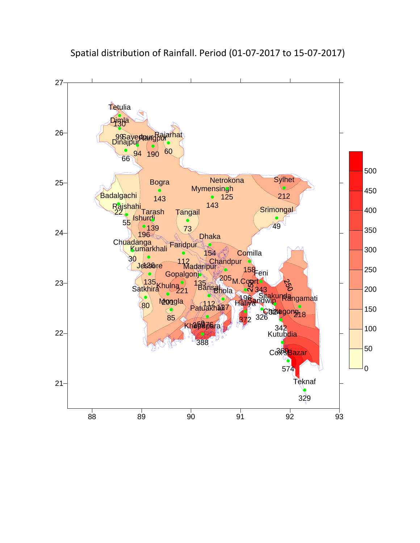

Spatial distribution of Rainfall. Period (01‐07‐2017 to 15‐07‐2017)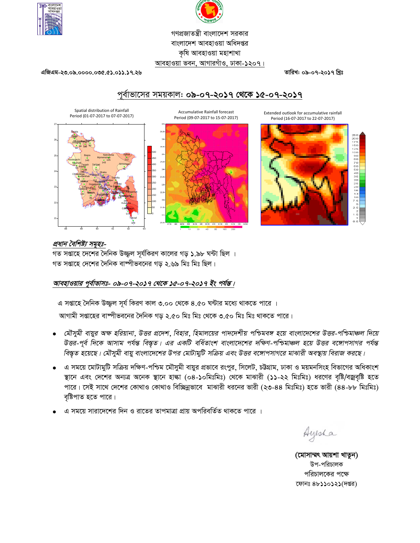



# গণপ্রজাতন্ত্রী বাংলাদেশ সরকার বাংলাদেশ আবহাওয়া অধিদপ্তর কৃষি আবহাওয়া মহাশাখা আবহাওয়া ভবন, আগারগাঁও, ঢাকা-১২০৭।

এজিএম-২৩.০৯.০০০০.০৩৫.৫১.০১১.১৭.২৬

তারিখ: ০৯-০৭-২০১৭ খ্রিঃ

# পূর্বাভাসের সময়কাল: ০৯-০৭-২০১৭ থেকে ১৫-০৭-২০১৭





Extended outlook for accumulative rainfall

Period (16-07-2017 to 22-07-2017)

# প্রধান বৈশিষ্ট্য সমূহঃ-

গত সপ্তাহে দেশের দৈনিক উজ্জ্বল সূর্যকিরণ কালের গড় ১.৯৮ ঘন্টা ছিল । গত সপ্তাহে দেশের দৈনিক বাষ্পীভবনের গড ২.৬৯ মিঃ মিঃ ছিল।

# আবহাওয়ার পূর্বাভাসঃ- ০৯-০৭-২০১৭ থেকে ১৫-০৭-২০১৭ ইং পর্যন্ত।

এ সপ্তাহে দৈনিক উজ্জল সূর্য কিরণ কাল ৩.০০ থেকে ৪.৫০ ঘন্টার মধ্যে থাকতে পারে । আগামী সপ্তাহের বাষ্পীভবনের দৈনিক গড় ২.৫০ মিঃ মিঃ থেকে ৩.৫০ মিঃ মিঃ থাকতে পারে।

- মৌসুমী বায়ুর অক্ষ হরিয়ানা, উত্তর প্রদেশ, বিহার, হিমালয়ের পাদদেশীয় পশ্চিমবঙ্গ হয়ে বাংলাদেশের উত্তর-পশ্চিমাঞ্চল দিয়ে উত্তর-পূর্ব দিকে আসাম পর্যন্ত বিস্তৃত। এর একটি বর্ধিতাংশ বাংলাদেশের দক্ষিণ-পশ্চিমাঞ্চল হয়ে উত্তর বঙ্গোপসাগর পর্যন্ত বিস্তৃত হয়েছে। মৌসুমী বায়ু বাংলাদেশের উপর মোটামুটি সক্রিয় এবং উত্তর বঙ্গোপসাগরে মাঝারী অবস্থায় বিরাজ করছে।
- এ সময়ে মোটামুটি সক্রিয় দক্ষিণ-পশ্চিম মৌসুমী বায়ুর প্রভাবে রংপুর, সিলেট, চউগ্রাম, ঢাকা ও ময়মনসিংহ বিভাগের অধিকাংশ স্থানে এবং দেশের অন্যত্র অনেক স্থানে হাল্কা (০৪-১০মিঃমিঃ) থেকে মাঝারী (১১-২২ মিঃমিঃ) ধরণের বৃষ্টি/বজ্রবৃষ্টি হতে পারে। সেই সাথে দেশের কোথাও কোথাও বিচ্ছিন্নভাবে মাঝারী ধরনের ভারী (২৩-৪৪ মিঃমিঃ) হতে ভারী (৪৪-৮৮ মিঃমিঃ) বৃষ্টিপাত হতে পারে।
- এ সময়ে সারাদেশের দিন ও রাতের তাপমাত্রা প্রায় অপরিবর্তিত থাকতে পারে ।

Ayesha

(মোসাম্মৎ আয়শা খাতুন) উপ-পরিচালক পরিচালকের পক্ষে ফোনঃ ৪৮১১০১২১(দপ্তর)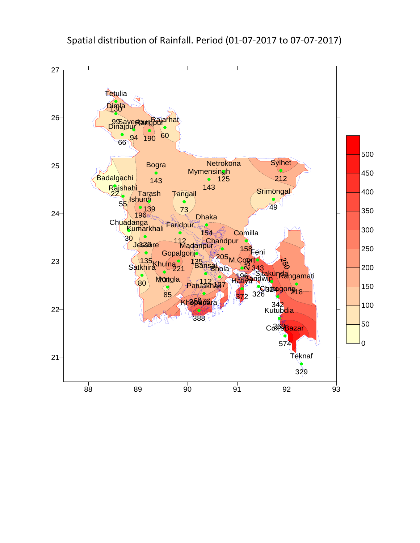

Spatial distribution of Rainfall. Period (01‐07‐2017 to 07‐07‐2017)